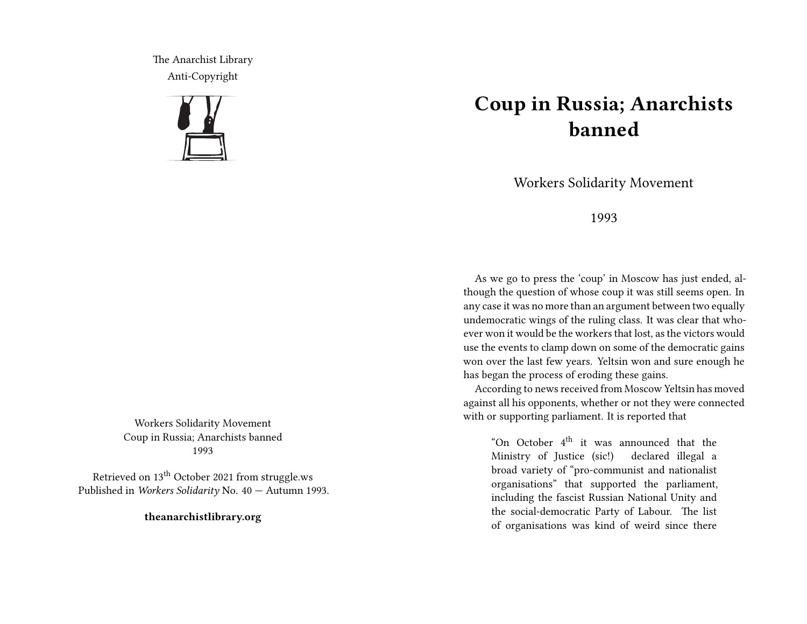The Anarchist Library Anti-Copyright



Workers Solidarity Movement Coup in Russia; Anarchists banned 1993

Retrieved on 13<sup>th</sup> October 2021 from struggle.ws Published in *Workers Solidarity* No. 40 — Autumn 1993.

**theanarchistlibrary.org**

## **Coup in Russia; Anarchists banned**

Workers Solidarity Movement

1993

As we go to press the 'coup' in Moscow has just ended, although the question of whose coup it was still seems open. In any case it was no more than an argument between two equally undemocratic wings of the ruling class. It was clear that whoever won it would be the workers that lost, as the victors would use the events to clamp down on some of the democratic gains won over the last few years. Yeltsin won and sure enough he has began the process of eroding these gains.

According to news received from Moscow Yeltsin has moved against all his opponents, whether or not they were connected with or supporting parliament. It is reported that

"On October 4<sup>th</sup> it was announced that the Ministry of Justice (sic!) declared illegal a broad variety of "pro-communist and nationalist organisations" that supported the parliament, including the fascist Russian National Unity and the social-democratic Party of Labour. The list of organisations was kind of weird since there